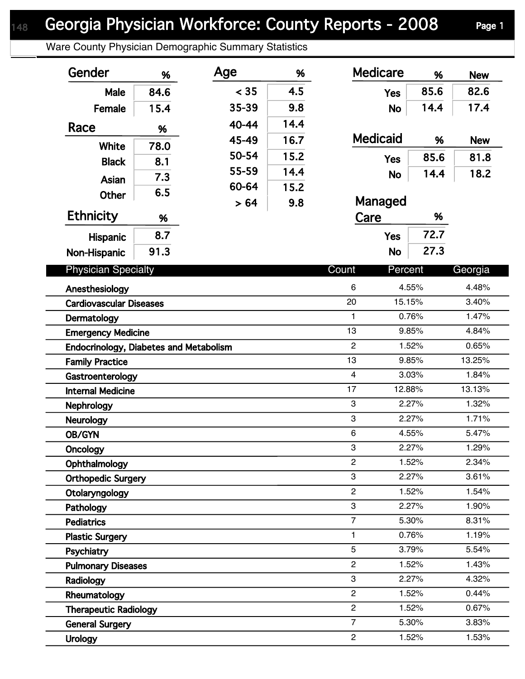Ware County Physician Demographic Summary Statistics

| Gender                                                 | %    | Age   | %    | <b>Medicare</b>           | %              | <b>New</b>     |
|--------------------------------------------------------|------|-------|------|---------------------------|----------------|----------------|
| Male                                                   | 84.6 | < 35  | 4.5  | <b>Yes</b>                | 85.6           | 82.6           |
| Female                                                 | 15.4 | 35-39 | 9.8  | <b>No</b>                 | 14.4           | 17.4           |
| Race                                                   | %    | 40-44 | 14.4 |                           |                |                |
|                                                        |      | 45-49 | 16.7 | <b>Medicaid</b>           | %              | <b>New</b>     |
| White                                                  | 78.0 | 50-54 | 15.2 | <b>Yes</b>                | 85.6           | 81.8           |
| <b>Black</b>                                           | 8.1  | 55-59 | 14.4 |                           | 14.4           | 18.2           |
| Asian                                                  | 7.3  | 60-64 | 15.2 | <b>No</b>                 |                |                |
| <b>Other</b>                                           | 6.5  | > 64  | 9.8  | Managed                   |                |                |
| <b>Ethnicity</b>                                       | %    |       |      | Care                      | %              |                |
| Hispanic                                               | 8.7  |       |      | <b>Yes</b>                | 72.7           |                |
| Non-Hispanic                                           | 91.3 |       |      | <b>No</b>                 | 27.3           |                |
| <b>Physician Specialty</b>                             |      |       |      | Count<br>Percent          |                | Georgia        |
| Anesthesiology                                         |      |       |      | 6                         | 4.55%          | 4.48%          |
| <b>Cardiovascular Diseases</b>                         |      |       |      | 20                        | 15.15%         | 3.40%          |
| Dermatology                                            |      |       |      | $\mathbf{1}$              | 0.76%          | 1.47%          |
| <b>Emergency Medicine</b>                              |      |       |      | 13                        | 9.85%          | 4.84%          |
| Endocrinology, Diabetes and Metabolism                 |      |       |      | $\overline{2}$            | 1.52%          | 0.65%          |
| <b>Family Practice</b>                                 |      |       |      | 13                        | 9.85%          | 13.25%         |
| Gastroenterology                                       |      |       |      | $\overline{\mathbf{4}}$   | 3.03%          | 1.84%          |
| <b>Internal Medicine</b>                               |      |       |      | 17                        | 12.88%         | 13.13%         |
| <b>Nephrology</b>                                      |      |       |      | $\sqrt{3}$                | 2.27%          | 1.32%          |
| <b>Neurology</b>                                       |      |       |      | $\,3$                     | 2.27%          | 1.71%          |
| OB/GYN                                                 |      |       |      | $\,6$                     | 4.55%          | 5.47%          |
| Oncology                                               |      |       |      | $\ensuremath{\mathsf{3}}$ | 2.27%          | 1.29%          |
| Ophthalmology                                          |      |       |      | $\overline{2}$            | 1.52%          | 2.34%          |
| <b>Orthopedic Surgery</b>                              |      |       |      | 3                         | 2.27%          | 3.61%          |
| Otolaryngology                                         |      |       |      | $\mathbf{2}$              | 1.52%          | 1.54%          |
| Pathology                                              |      |       |      | 3                         | 2.27%          | 1.90%          |
| <b>Pediatrics</b>                                      |      |       |      | $\overline{7}$            | 5.30%          | 8.31%          |
| <b>Plastic Surgery</b>                                 |      |       |      | 1<br>5                    | 0.76%          | 1.19%          |
| Psychiatry                                             |      |       |      | $\overline{c}$            | 3.79%          | 5.54%          |
| <b>Pulmonary Diseases</b>                              |      |       |      | 3                         | 1.52%<br>2.27% | 1.43%<br>4.32% |
| Radiology                                              |      |       |      | $\overline{2}$            | 1.52%          | 0.44%          |
| Rheumatology                                           |      |       |      | $\overline{2}$            | 1.52%          | 0.67%          |
| <b>Therapeutic Radiology</b><br><b>General Surgery</b> |      |       |      | $\overline{7}$            | 5.30%          | 3.83%          |
| <b>Urology</b>                                         |      |       |      | $\overline{2}$            | 1.52%          | 1.53%          |
|                                                        |      |       |      |                           |                |                |